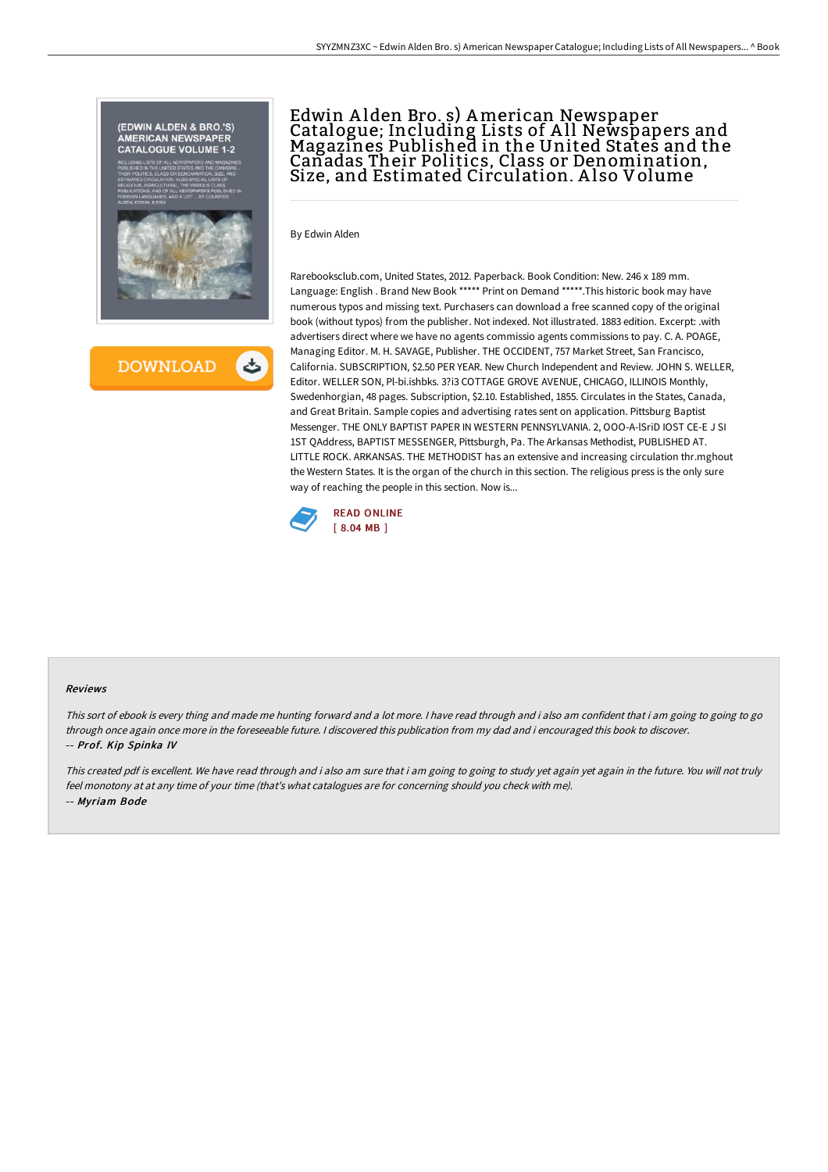



# Edwin A lden Bro. s) American Newspaper Catalogue; Including Lists of A ll Newspapers and Magazines Published in the United States and the Canadas Their Politics, Class or Denomination, Size, and Estimated Circulation. A lso Volume

By Edwin Alden

Rarebooksclub.com, United States, 2012. Paperback. Book Condition: New. 246 x 189 mm. Language: English . Brand New Book \*\*\*\*\* Print on Demand \*\*\*\*\*.This historic book may have numerous typos and missing text. Purchasers can download a free scanned copy of the original book (without typos) from the publisher. Not indexed. Not illustrated. 1883 edition. Excerpt: .with advertisers direct where we have no agents commissio agents commissions to pay. C. A. POAGE, Managing Editor. M. H. SAVAGE, Publisher. THE OCCIDENT, 757 Market Street, San Francisco, California. SUBSCRIPTION, \$2.50 PER YEAR. New Church Independent and Review. JOHN S. WELLER, Editor. WELLER SON, Pl-bi.ishbks. 3?i3 COTTAGE GROVE AVENUE, CHICAGO, ILLINOIS Monthly, Swedenhorgian, 48 pages. Subscription, \$2.10. Established, 1855. Circulates in the States, Canada, and Great Britain. Sample copies and advertising rates sent on application. Pittsburg Baptist Messenger. THE ONLY BAPTIST PAPER IN WESTERN PENNSYLVANIA. 2, OOO-A-lSriD IOST CE-E J SI 1ST QAddress, BAPTIST MESSENGER, Pittsburgh, Pa. The Arkansas Methodist, PUBLISHED AT. LITTLE ROCK. ARKANSAS. THE METHODIST has an extensive and increasing circulation thr.mghout the Western States. It is the organ of the church in this section. The religious press is the only sure way of reaching the people in this section. Now is...



#### Reviews

This sort of ebook is every thing and made me hunting forward and a lot more. I have read through and i also am confident that i am going to going to go through once again once more in the foreseeable future. <sup>I</sup> discovered this publication from my dad and i encouraged this book to discover. -- Prof. Kip Spinka IV

This created pdf is excellent. We have read through and i also am sure that i am going to going to study yet again in the future. You will not truly feel monotony at at any time of your time (that's what catalogues are for concerning should you check with me). -- Myriam Bode